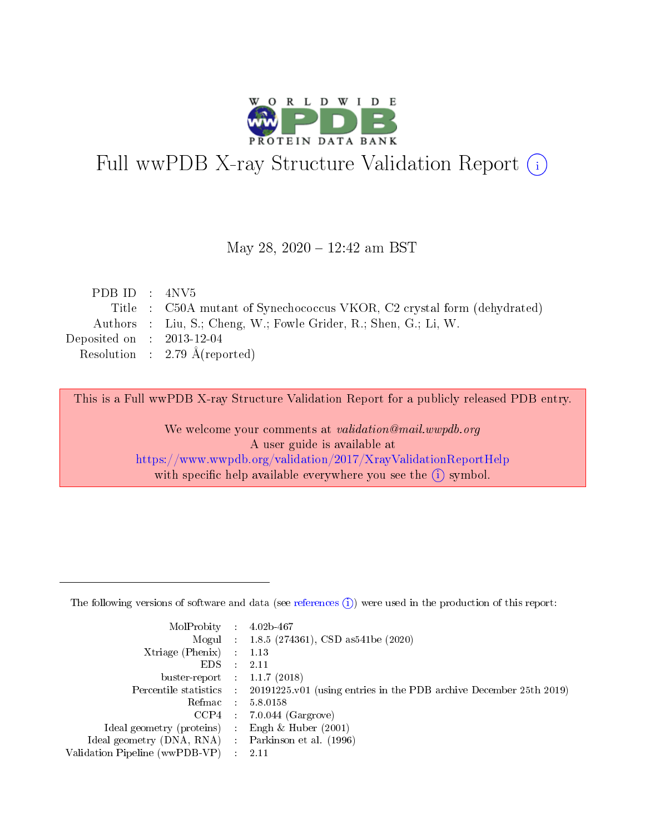

# Full wwPDB X-ray Structure Validation Report (i)

#### May 28, 2020 - 12:42 am BST

| PDB ID : $4NV5$             |                                                                         |
|-----------------------------|-------------------------------------------------------------------------|
|                             | Title : C50A mutant of Synechococcus VKOR, C2 crystal form (dehydrated) |
|                             | Authors : Liu, S.; Cheng, W.; Fowle Grider, R.; Shen, G.; Li, W.        |
| Deposited on : $2013-12-04$ |                                                                         |
|                             | Resolution : 2.79 $\AA$ (reported)                                      |

This is a Full wwPDB X-ray Structure Validation Report for a publicly released PDB entry.

We welcome your comments at validation@mail.wwpdb.org A user guide is available at <https://www.wwpdb.org/validation/2017/XrayValidationReportHelp> with specific help available everywhere you see the  $(i)$  symbol.

The following versions of software and data (see [references](https://www.wwpdb.org/validation/2017/XrayValidationReportHelp#references)  $(1)$ ) were used in the production of this report:

| $MolProbability$ 4.02b-467                          |               |                                                                                            |
|-----------------------------------------------------|---------------|--------------------------------------------------------------------------------------------|
|                                                     |               | Mogul : 1.8.5 (274361), CSD as 541be (2020)                                                |
| $Xtriangle (Phenix)$ : 1.13                         |               |                                                                                            |
| EDS -                                               | $\mathcal{L}$ | 2.11                                                                                       |
| buster-report : $1.1.7(2018)$                       |               |                                                                                            |
|                                                     |               | Percentile statistics : 20191225.v01 (using entries in the PDB archive December 25th 2019) |
| Refmac $5.8.0158$                                   |               |                                                                                            |
|                                                     |               | $CCP4$ : 7.0.044 (Gargrove)                                                                |
| Ideal geometry (proteins) :                         |               | Engh $\&$ Huber (2001)                                                                     |
| Ideal geometry (DNA, RNA) : Parkinson et al. (1996) |               |                                                                                            |
| Validation Pipeline (wwPDB-VP) : 2.11               |               |                                                                                            |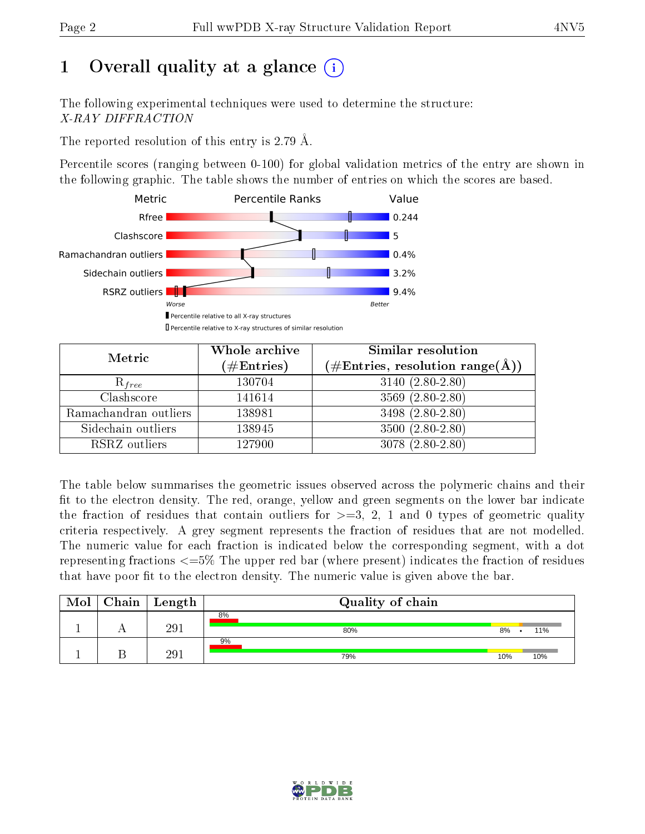# 1 [O](https://www.wwpdb.org/validation/2017/XrayValidationReportHelp#overall_quality)verall quality at a glance  $(i)$

The following experimental techniques were used to determine the structure: X-RAY DIFFRACTION

The reported resolution of this entry is 2.79 Å.

Percentile scores (ranging between 0-100) for global validation metrics of the entry are shown in the following graphic. The table shows the number of entries on which the scores are based.



| Metric                | Whole archive<br>$(\#\text{Entries})$ | Similar resolution<br>$(\#\text{Entries},\,\text{resolution}\,\,\text{range}(\textup{\AA}))$ |
|-----------------------|---------------------------------------|----------------------------------------------------------------------------------------------|
| $R_{free}$            | 130704                                | $3140(2.80-2.80)$                                                                            |
| Clashscore            | 141614                                | $3569(2.80-2.80)$                                                                            |
| Ramachandran outliers | 138981                                | $3498(2.80-2.80)$                                                                            |
| Sidechain outliers    | 138945                                | $3500(2.80-2.80)$                                                                            |
| RSRZ outliers         | 127900                                | $3078(2.80-2.80)$                                                                            |

The table below summarises the geometric issues observed across the polymeric chains and their fit to the electron density. The red, orange, yellow and green segments on the lower bar indicate the fraction of residues that contain outliers for  $>=3, 2, 1$  and 0 types of geometric quality criteria respectively. A grey segment represents the fraction of residues that are not modelled. The numeric value for each fraction is indicated below the corresponding segment, with a dot representing fractions  $\epsilon=5\%$  The upper red bar (where present) indicates the fraction of residues that have poor fit to the electron density. The numeric value is given above the bar.

| Mol | Chain   Length | Quality of chain |     |     |
|-----|----------------|------------------|-----|-----|
|     | 29             | 8%<br>80%        | 8%  | 11% |
|     | $29\degree$    | 9%<br>79%        | 10% | 10% |

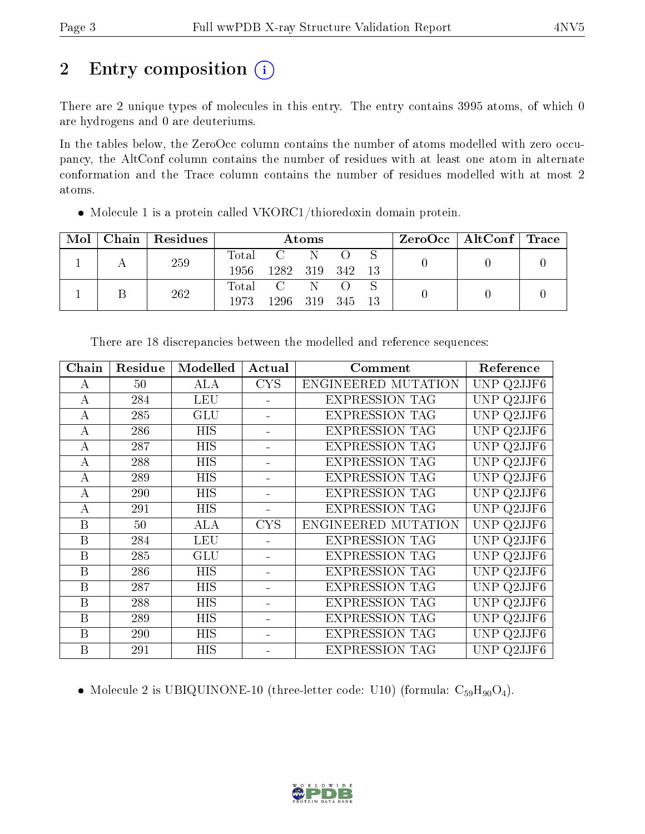# 2 Entry composition  $\left( \cdot \right)$

There are 2 unique types of molecules in this entry. The entry contains 3995 atoms, of which 0 are hydrogens and 0 are deuteriums.

In the tables below, the ZeroOcc column contains the number of atoms modelled with zero occupancy, the AltConf column contains the number of residues with at least one atom in alternate conformation and the Trace column contains the number of residues modelled with at most 2 atoms.

| Mol |  | Chain   Residues | Atoms           |           |  |        |  | $\text{ZeroOcc}$   AltConf   Trace |  |
|-----|--|------------------|-----------------|-----------|--|--------|--|------------------------------------|--|
|     |  | 259              |                 | Total C N |  |        |  |                                    |  |
|     |  | 1956-            | 1282 319 342 13 |           |  |        |  |                                    |  |
|     |  | 262              |                 | Total C N |  |        |  |                                    |  |
|     |  |                  | 1973            | 1296 319  |  | 345 13 |  |                                    |  |

Molecule 1 is a protein called VKORC1/thioredoxin domain protein.

| Chain | Residue | Modelled             | Actual     | Comment               | Reference            |
|-------|---------|----------------------|------------|-----------------------|----------------------|
| A     | 50      | ALA                  | <b>CYS</b> | ENGINEERED MUTATION   | UNP Q2JJF6           |
| А     | 284     | <b>LEU</b>           |            | <b>EXPRESSION TAG</b> | UNP Q2JJF6           |
| А     | 285     | GLU                  |            | <b>EXPRESSION TAG</b> | UNP Q2JJF6           |
| A     | 286     | <b>HIS</b>           |            | <b>EXPRESSION TAG</b> | UNP Q2JJF6           |
| А     | 287     | HIS                  |            | <b>EXPRESSION TAG</b> | UNP Q2JJF6           |
| А     | 288     | HIS                  |            | <b>EXPRESSION TAG</b> | UNP Q2JJF6           |
| А     | 289     | <b>HIS</b>           |            | <b>EXPRESSION TAG</b> | UNP Q2JJF6           |
| А     | 290     | <b>HIS</b>           |            | <b>EXPRESSION TAG</b> | UNP Q2JJF6           |
| А     | 291     | HIS                  |            | <b>EXPRESSION TAG</b> | UNP Q2JJF6           |
| B     | 50      | ALA                  | <b>CYS</b> | ENGINEERED MUTATION   | Q2JJF6<br><b>UNP</b> |
| B     | 284     | LEU                  |            | <b>EXPRESSION TAG</b> | UNP<br>Q2JJF6        |
| B     | 285     | $\operatorname{GLU}$ |            | <b>EXPRESSION TAG</b> | Q2JJF6<br>UNP        |
| B     | 286     | HIS                  |            | <b>EXPRESSION TAG</b> | Q2JJF6<br>UNP        |
| B     | 287     | HIS                  |            | <b>EXPRESSION TAG</b> | Q2JJF6<br>UNP        |
| B     | 288     | HIS                  |            | <b>EXPRESSION TAG</b> | Q2JJF6<br>UNP.       |
| B     | 289     | HIS                  |            | <b>EXPRESSION TAG</b> | UNP Q2JJF6           |
| B     | 290     | <b>HIS</b>           |            | <b>EXPRESSION TAG</b> | UNP Q2JJF6           |
| B     | 291     | <b>HIS</b>           |            | <b>EXPRESSION TAG</b> | UNP Q2JJF6           |

There are 18 discrepancies between the modelled and reference sequences:

• Molecule 2 is UBIQUINONE-10 (three-letter code: U10) (formula:  $C_{59}H_{90}O_4$ ).

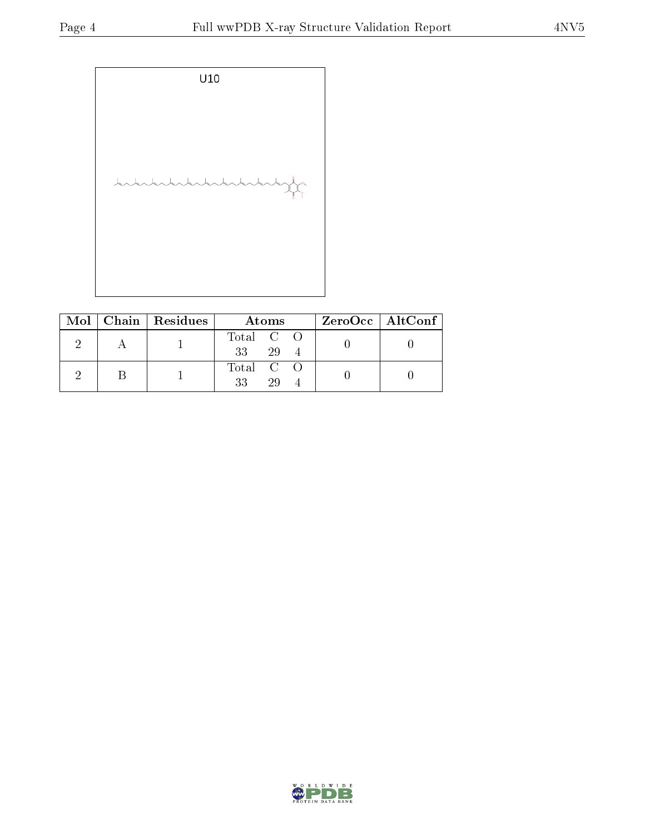

|  | Mol   Chain   Residues | Atoms                 | ZeroOcc   AltConf |
|--|------------------------|-----------------------|-------------------|
|  |                        | Total C O<br>29<br>33 |                   |
|  |                        | Total C O<br>29<br>33 |                   |

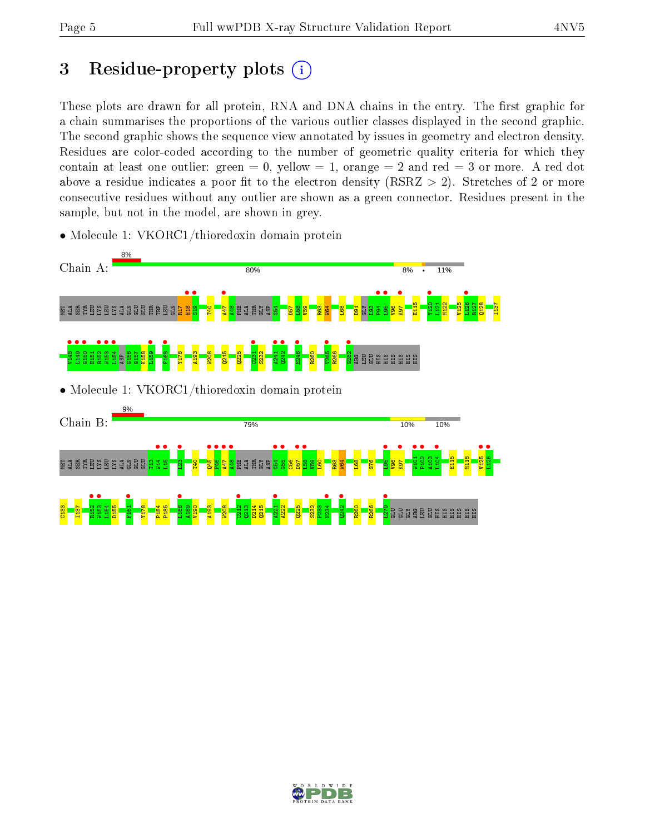# 3 Residue-property plots  $(i)$

These plots are drawn for all protein, RNA and DNA chains in the entry. The first graphic for a chain summarises the proportions of the various outlier classes displayed in the second graphic. The second graphic shows the sequence view annotated by issues in geometry and electron density. Residues are color-coded according to the number of geometric quality criteria for which they contain at least one outlier: green  $= 0$ , yellow  $= 1$ , orange  $= 2$  and red  $= 3$  or more. A red dot above a residue indicates a poor fit to the electron density (RSRZ  $> 2$ ). Stretches of 2 or more consecutive residues without any outlier are shown as a green connector. Residues present in the sample, but not in the model, are shown in grey.



• Molecule 1: VKORC1/thioredoxin domain protein

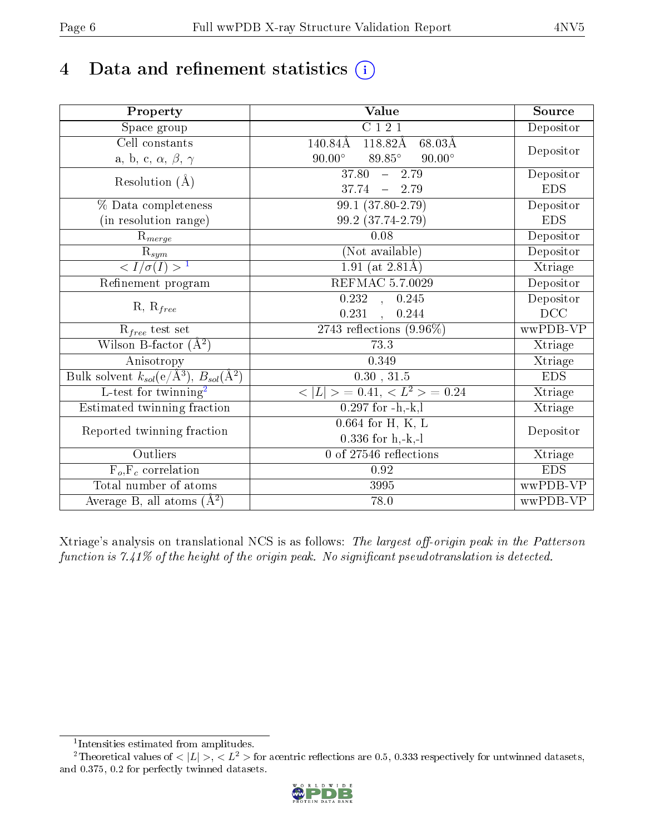## 4 Data and refinement statistics  $(i)$

| Property                                                          | Value                                                         | Source     |  |
|-------------------------------------------------------------------|---------------------------------------------------------------|------------|--|
| $\overline{\text{Space}}$ group                                   | $\overline{C}$ 1 2 1                                          | Depositor  |  |
| Cell constants                                                    | $118.82\text{\AA}$<br>$68.03\text{\AA}$<br>$140.84\text{\AA}$ |            |  |
| a, b, c, $\alpha$ , $\beta$ , $\gamma$                            | $89.85^\circ$<br>$90.00^\circ$<br>$90.00^\circ$               | Depositor  |  |
| Resolution $(\AA)$                                                | $37.80 - 2.79$                                                | Depositor  |  |
|                                                                   | $37.74 - 2.79$                                                | <b>EDS</b> |  |
| % Data completeness                                               | $99.1 (37.80 - 2.79)$                                         | Depositor  |  |
| (in resolution range)                                             | 99.2 (37.74-2.79)                                             | <b>EDS</b> |  |
| $R_{merge}$                                                       | 0.08                                                          | Depositor  |  |
| $\frac{R_{sym}}{{}1}$                                             | (Not available)                                               | Depositor  |  |
|                                                                   | 1.91 (at $2.81\text{\AA}$ )                                   | Xtriage    |  |
| Refinement program                                                | REFMAC 5.7.0029                                               | Depositor  |  |
|                                                                   | 0.232<br>0.245<br>$\mathcal{A}^{\mathcal{A}}$                 | Depositor  |  |
| $R, R_{free}$                                                     | 0.231<br>, 0.244                                              | DCC        |  |
| $R_{free}$ test set                                               | 2743 reflections $(9.96\%)$                                   | wwPDB-VP   |  |
| Wilson B-factor $(A^2)$                                           | 73.3                                                          | Xtriage    |  |
| Anisotropy                                                        | 0.349                                                         | Xtriage    |  |
| Bulk solvent $k_{sol}(e/\mathring{A}^3), B_{sol}(\mathring{A}^2)$ | $0.30\,$ , $31.5\,$                                           | <b>EDS</b> |  |
| $L$ -test for twinning <sup>2</sup>                               | $< L >$ = 0.41, $< L^2 >$ = 0.24                              | Xtriage    |  |
| Estimated twinning fraction                                       | $0.297$ for $-h,-k,l$                                         | Xtriage    |  |
|                                                                   | $0.664$ for H, K, L                                           |            |  |
| Reported twinning fraction                                        | $0.336$ for h,-k,-l                                           | Depositor  |  |
| Outliers                                                          | 0 of 27546 reflections                                        | Xtriage    |  |
| $F_o, F_c$ correlation                                            | 0.92                                                          | <b>EDS</b> |  |
| Total number of atoms                                             | 3995                                                          | wwPDB-VP   |  |
| Average B, all atoms $(A^2)$                                      | 78.0                                                          | wwPDB-VP   |  |

Xtriage's analysis on translational NCS is as follows: The largest off-origin peak in the Patterson function is  $7.41\%$  of the height of the origin peak. No significant pseudotranslation is detected.

<sup>&</sup>lt;sup>2</sup>Theoretical values of  $\langle |L| \rangle$ ,  $\langle L^2 \rangle$  for acentric reflections are 0.5, 0.333 respectively for untwinned datasets, and 0.375, 0.2 for perfectly twinned datasets.



<span id="page-5-1"></span><span id="page-5-0"></span><sup>1</sup> Intensities estimated from amplitudes.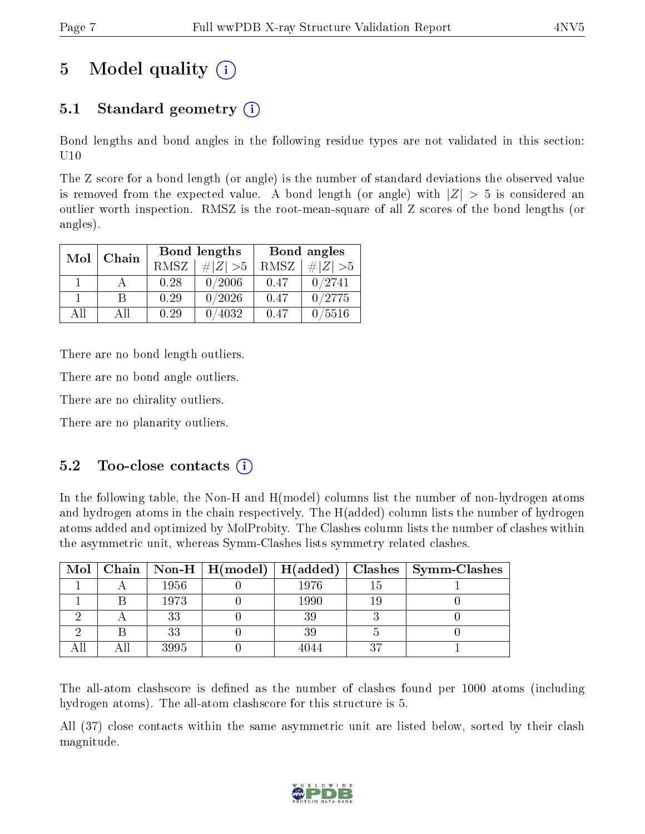# 5 Model quality  $(i)$

### 5.1 Standard geometry  $(i)$

Bond lengths and bond angles in the following residue types are not validated in this section: U10

The Z score for a bond length (or angle) is the number of standard deviations the observed value is removed from the expected value. A bond length (or angle) with  $|Z| > 5$  is considered an outlier worth inspection. RMSZ is the root-mean-square of all Z scores of the bond lengths (or angles).

|    | Chain<br>Mol |             | Bond lengths | Bond angles |             |  |
|----|--------------|-------------|--------------|-------------|-------------|--|
|    |              | <b>RMSZ</b> | $\# Z  > 5$  | RMSZ        | $\# Z  > 5$ |  |
|    |              | 0.28        | 0/2006       | 0.47        | 0/2741      |  |
|    | R            | 0.29        | 0/2026       | 0.47        | 0/2775      |  |
| ΔH | A 11         | 0.29        | 4032         | 0.47        | 0/5516      |  |

There are no bond length outliers.

There are no bond angle outliers.

There are no chirality outliers.

There are no planarity outliers.

### $5.2$  Too-close contacts  $(i)$

In the following table, the Non-H and H(model) columns list the number of non-hydrogen atoms and hydrogen atoms in the chain respectively. The H(added) column lists the number of hydrogen atoms added and optimized by MolProbity. The Clashes column lists the number of clashes within the asymmetric unit, whereas Symm-Clashes lists symmetry related clashes.

|  |      | Mol   Chain   Non-H   H(model)   H(added) |          |    | Clashes   Symm-Clashes |
|--|------|-------------------------------------------|----------|----|------------------------|
|  | 1956 |                                           | 1976     |    |                        |
|  | 1973 |                                           | $1990\,$ |    |                        |
|  | 33   |                                           | 39       |    |                        |
|  | 33   |                                           | 39       |    |                        |
|  | 3995 |                                           | 4044     | 27 |                        |

The all-atom clashscore is defined as the number of clashes found per 1000 atoms (including hydrogen atoms). The all-atom clashscore for this structure is 5.

All (37) close contacts within the same asymmetric unit are listed below, sorted by their clash magnitude.

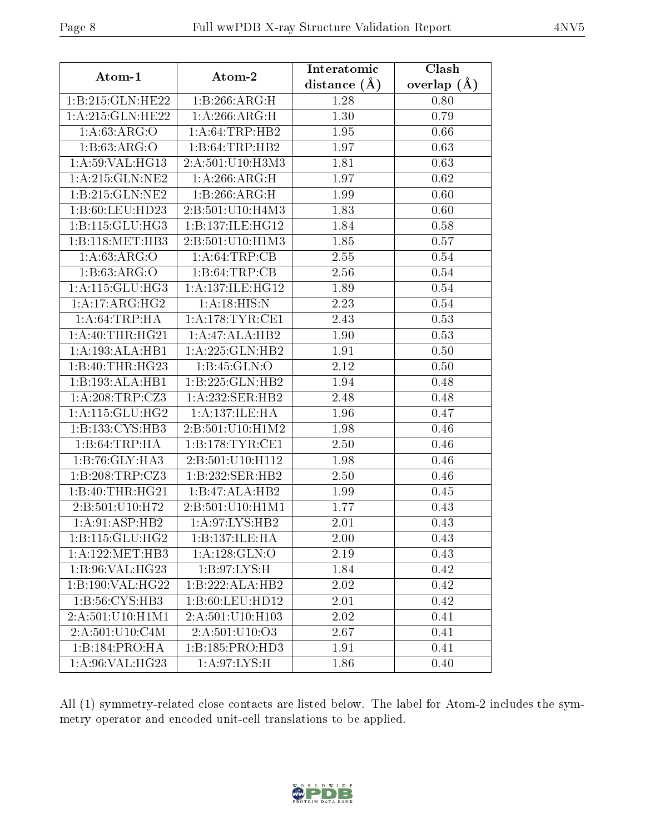| Atom-1              | Atom-2               | Interatomic      | Clash         |
|---------------------|----------------------|------------------|---------------|
|                     |                      | distance $(\AA)$ | overlap $(A)$ |
| 1:B:215:GLN:HE22    | 1:B:266:ARG:H        | 1.28             | 0.80          |
| 1:A:215:GLN:HE22    | 1:A:266:ARG:H        | 1.30             | 0.79          |
| 1: A:63:ARG:O       | 1: A:64:TRP:HB2      | 1.95             | 0.66          |
| 1: B:63: ARG:O      | 1:B:64:TRP:HB2       | 1.97             | 0.63          |
| 1: A:59: VAL:HG13   | 2:A:501:U10:H3M3     | 1.81             | 0.63          |
| 1:A:215:GLN:NE2     | 1:A:266:ARG:H        | 1.97             | 0.62          |
| 1:B:215:GLN:NE2     | 1:B:266:ARG:H        | 1.99             | 0.60          |
| 1:B:60:LEU:HD23     | 2:B:501:U10:H4M3     | 1.83             | 0.60          |
| 1:B:115:GLU:HG3     | 1:B:137:ILE:HG12     | 1.84             | 0.58          |
| 1:B:118:MET:HB3     | 2:B:501:U10:H1M3     | 1.85             | 0.57          |
| 1: A:63: ARG:O      | 1: A:64:TRP:CB       | 2.55             | 0.54          |
| 1: B: 63: ARG: O    | 1:B:64:TRP:CB        | 2.56             | 0.54          |
| 1:A:115:GLU:HG3     | 1: A: 137: ILE: HG12 | 1.89             | 0.54          |
| 1: A:17: ARG: HG2   | 1: A:18: HIS:N       | 2.23             | 0.54          |
| 1: A:64:TRP:HA      | 1:A:178:TYR:CE1      | 2.43             | 0.53          |
| 1: A:40:THR:HG21    | 1:A:47:ALA:HB2       | 1.90             | 0.53          |
| 1:A:193:ALA:HB1     | 1:A:225:GLN:HB2      | 1.91             | 0.50          |
| 1:B:40:THR:HG23     | 1:B:45:GLN:O         | 2.12             | 0.50          |
| 1:B:193:ALA:HB1     | 1:B:225:GLN:HB2      | 1.94             | 0.48          |
| 1: A:208:TRP: CZ3   | 1:A:232:SER:HB2      | 2.48             | 0.48          |
| 1: A:115: GLU: HG2  | 1:A:137:ILE:HA       | 1.96             | 0.47          |
| 1:B:133:CYS:HB3     | 2:B:501:U10:H1M2     | 1.98             | 0.46          |
| 1:B:64:TRP:HA       | 1: B:178: TYR: CE1   | 2.50             | 0.46          |
| 1:B:76:GLY:HA3      | 2:B:501:U10:H112     | 1.98             | 0.46          |
| 1: B:208:TRP:CZ3    | 1:B:232:SER:HB2      | 2.50             | 0.46          |
| 1:B:40:THR:HG21     | 1:B:47:ALA:HB2       | 1.99             | 0.45          |
| 2:B:501:U10:H72     | 2:5.501:U10:H1M1     | 1.77             | 0.43          |
| 1:A:91:ASP:HB2      | 1:A:97:LYS:HB2       | 2.01             | 0.43          |
| 1: B: 115: GLU: HG2 | 1:B:137:ILE:HA       | 2.00             | 0.43          |
| 1: A: 122: MET: HB3 | 1: A: 128: GLN: O    | 2.19             | 0.43          |
| 1:B:96:VAL:HG23     | 1: B:97: LYS:H       | 1.84             | 0.42          |
| 1:B:190:VAL:HG22    | 1:B:222:ALA:HB2      | 2.02             | 0.42          |
| 1:B:56:CYS:HB3      | 1:B:60:LEU:HD12      | 2.01             | 0.42          |
| 2:A:501:U10:H1M1    | 2:A:501:U10:H103     | 2.02             | 0.41          |
| 2:A:501:U10:C4M     | 2: A: 501: U10: O3   | 2.67             | 0.41          |
| 1:B:184:PRO:HA      | 1:B:185:PRO:HD3      | 1.91             | 0.41          |
| 1: A:96: VAL:HG23   | 1: A:97: LYS:H       | 1.86             | 0.40          |

All (1) symmetry-related close contacts are listed below. The label for Atom-2 includes the symmetry operator and encoded unit-cell translations to be applied.

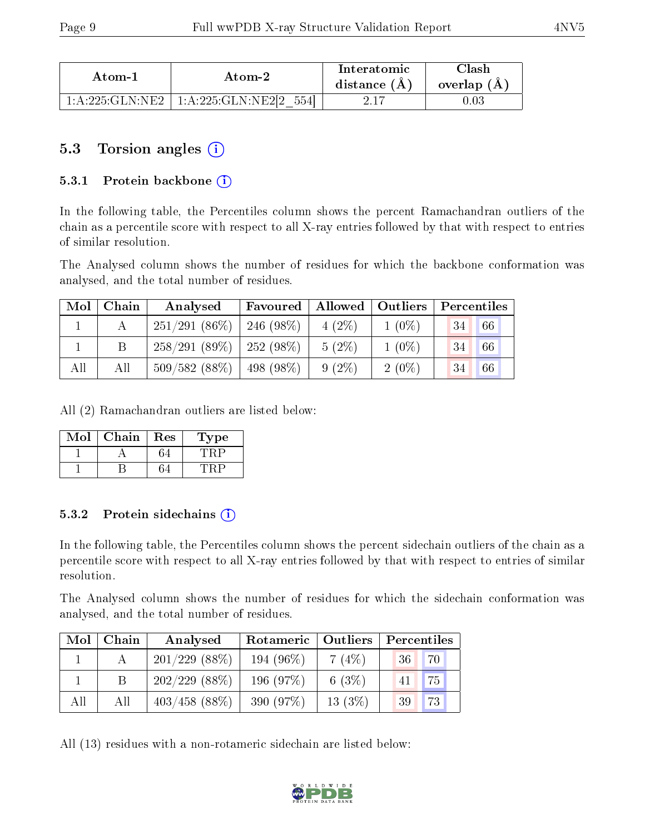| Atom-1              |                                       | Interatomic    | $\cap$ lash |
|---------------------|---------------------------------------|----------------|-------------|
| Atom-2              |                                       | distance $(A)$ | overlap (A) |
| $1:A:225:GLN:NE2 +$ | $\pm 1:$ A:225:GLN:NE2[2 $\pm$<br>554 |                |             |

### 5.3 Torsion angles (i)

#### 5.3.1 Protein backbone  $(i)$

In the following table, the Percentiles column shows the percent Ramachandran outliers of the chain as a percentile score with respect to all X-ray entries followed by that with respect to entries of similar resolution.

The Analysed column shows the number of residues for which the backbone conformation was analysed, and the total number of residues.

| Mol | Chain | Analysed                     | Favoured     | Allowed <sup>1</sup> | Outliers | Percentiles |    |
|-----|-------|------------------------------|--------------|----------------------|----------|-------------|----|
|     |       | $251/291(86\%)$              | $-246(98\%)$ | $4(2\%)$             | $1(0\%)$ | 34          | 66 |
|     |       | $258/291(89\%)$   252 (98\%) |              | $5(2\%)$             | $1(0\%)$ | 34          | 66 |
| All | All   | 509/582(88%)                 | 498 (98\%)   | $9(2\%)$             | $2(0\%)$ | 34          | 66 |

All (2) Ramachandran outliers are listed below:

| Mol | Chain | Res | 1'ype |
|-----|-------|-----|-------|
|     |       |     |       |
|     |       |     |       |

#### 5.3.2 Protein sidechains  $\left( \mathbf{i} \right)$

In the following table, the Percentiles column shows the percent sidechain outliers of the chain as a percentile score with respect to all X-ray entries followed by that with respect to entries of similar resolution.

The Analysed column shows the number of residues for which the sidechain conformation was analysed, and the total number of residues.

| Mol | Chain | Analysed         | Rotameric   Outliers |           | Percentiles |  |  |
|-----|-------|------------------|----------------------|-----------|-------------|--|--|
|     |       | $201/229$ (88\%) | 194 $(96\%)$         | 7(4%)     | 70<br>-36   |  |  |
|     |       | $202/229$ (88\%) | 196 $(97%)$          | 6 $(3%)$  | 75<br>41    |  |  |
| All | All   | $403/458$ (88%)  | 390 (97%)            | $13(3\%)$ | 73<br>39    |  |  |

All (13) residues with a non-rotameric sidechain are listed below:

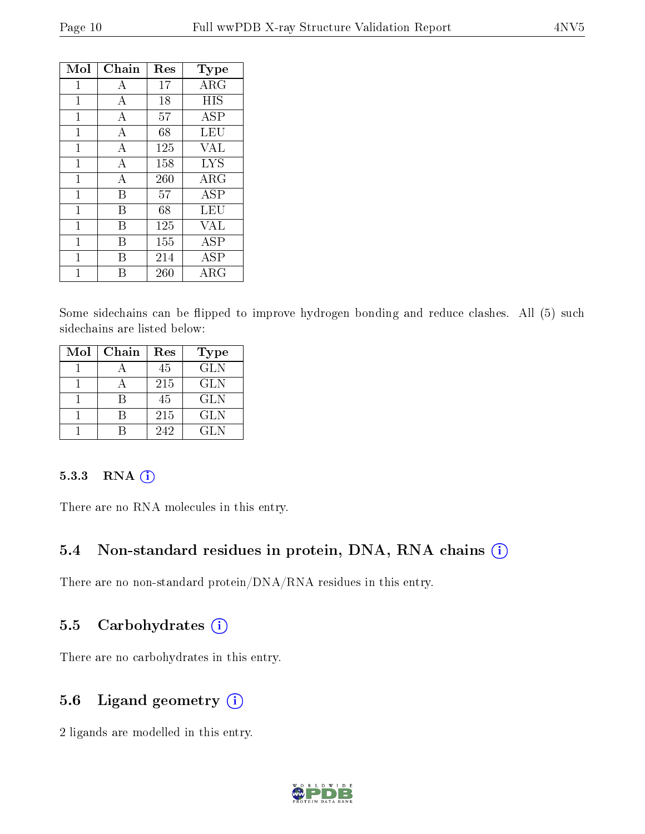| Mol          | Chain        | Res | Type        |
|--------------|--------------|-----|-------------|
| 1            | А            | 17  | $\rm{ARG}$  |
| 1            | А            | 18  | <b>HIS</b>  |
| $\mathbf{1}$ | $\mathbf{A}$ | 57  | ASP         |
| 1            | А            | 68  | LEU         |
| $\mathbf 1$  | А            | 125 | VAL         |
| 1            | $\mathbf{A}$ | 158 | <b>LYS</b>  |
| $\mathbf 1$  | А            | 260 | $\rm{ARG}$  |
| $\mathbf 1$  | В            | 57  | ASP         |
| 1            | В            | 68  | LEU         |
| 1            | В            | 125 | VAL         |
| 1            | В            | 155 | ASP         |
| 1            | R            | 214 | ASP         |
|              |              | 260 | ${\rm ARG}$ |

Some sidechains can be flipped to improve hydrogen bonding and reduce clashes. All (5) such sidechains are listed below:

| Mol | Chain | Res | Type       |
|-----|-------|-----|------------|
|     |       | 45  | <b>GLN</b> |
|     |       | 215 | <b>GLN</b> |
|     |       | 45  | <b>GLN</b> |
|     |       | 215 | <b>GLN</b> |
|     |       | 242 | GL N       |

#### 5.3.3 RNA [O](https://www.wwpdb.org/validation/2017/XrayValidationReportHelp#rna)i

There are no RNA molecules in this entry.

#### 5.4 Non-standard residues in protein, DNA, RNA chains (i)

There are no non-standard protein/DNA/RNA residues in this entry.

#### 5.5 Carbohydrates  $(i)$

There are no carbohydrates in this entry.

#### 5.6 Ligand geometry (i)

2 ligands are modelled in this entry.

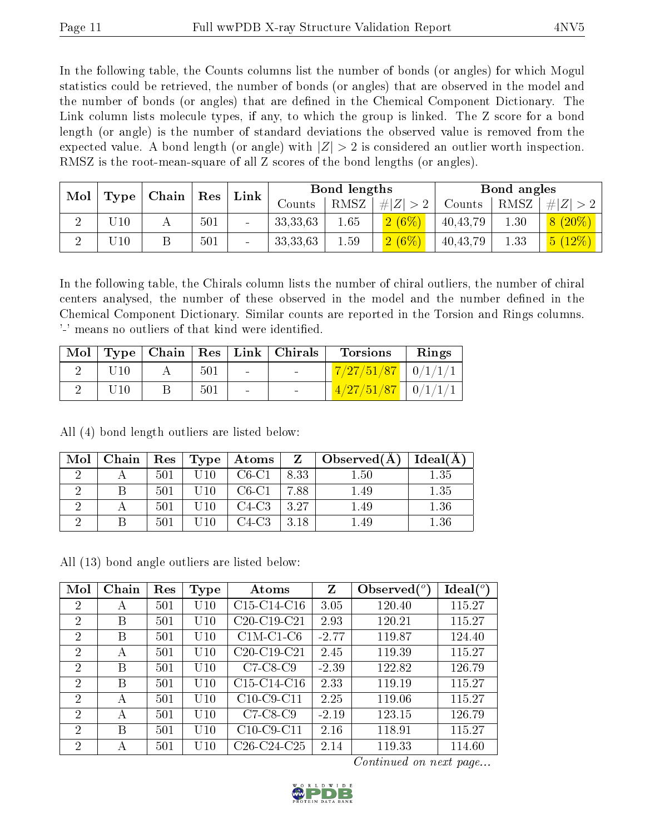In the following table, the Counts columns list the number of bonds (or angles) for which Mogul statistics could be retrieved, the number of bonds (or angles) that are observed in the model and the number of bonds (or angles) that are dened in the Chemical Component Dictionary. The Link column lists molecule types, if any, to which the group is linked. The Z score for a bond length (or angle) is the number of standard deviations the observed value is removed from the expected value. A bond length (or angle) with  $|Z| > 2$  is considered an outlier worth inspection. RMSZ is the root-mean-square of all Z scores of the bond lengths (or angles).

| Mol | $\mid$ Chain<br>Type | Res | Link |                 | Bond lengths |      | Bond angles |            |      |             |
|-----|----------------------|-----|------|-----------------|--------------|------|-------------|------------|------|-------------|
|     |                      |     |      |                 | Counts       | RMSZ | # $ Z  > 2$ | Counts     | RMSZ | # $ Z  > 2$ |
|     | 10                   |     | 501  |                 | 33, 33, 63   | 1.65 | 2(6%)       | 40, 43, 79 | l.30 | $8(20\%)$   |
|     | 10                   |     | 501  | $\qquad \qquad$ | 33, 33, 63   | 1.59 | $2(6\%)$    | 40, 43, 79 | 1.33 | $ 5(12\%) $ |

In the following table, the Chirals column lists the number of chiral outliers, the number of chiral centers analysed, the number of these observed in the model and the number defined in the Chemical Component Dictionary. Similar counts are reported in the Torsion and Rings columns. '-' means no outliers of that kind were identified.

|     |     |                          | Mol   Type   Chain   Res   Link   Chirals | <b>Torsions</b>                  | Rings |
|-----|-----|--------------------------|-------------------------------------------|----------------------------------|-------|
|     | 501 | <b>Contract Contract</b> | <b>Contract Contract</b>                  | $\mid$ 7/27/51/87 $\mid$ 0/1/1/1 |       |
| U10 | 501 | $\sim$                   | <b>Contract Contract</b>                  | $1/27/51/87$   $0/1/1/1$         |       |

All (4) bond length outliers are listed below:

| Mol | Chain |     | $\parallel$ Res $\parallel$ Type $\parallel$ | Atoms   | $Z_{\parallel}$ | $\Box$ Observed( $\Diamond$ ) | Ideal(A) |
|-----|-------|-----|----------------------------------------------|---------|-----------------|-------------------------------|----------|
|     |       | 501 | U 10                                         | $C6-C1$ | 8.33            | 1.50                          | 1.35     |
|     |       | 501 | U10                                          | $C6-C1$ | 7.88            | 1.49                          | 1.35     |
|     |       | 501 | U10                                          | $C4-C3$ | 3.27            | 1.49                          | 1.36     |
|     |       | 501 | 10                                           | C4-C3-  | 3.18            | 1.49                          | $1.36\,$ |

All (13) bond angle outliers are listed below:

| Mol            | Chain | Res | <b>Type</b> | Atoms         | Z       | Observed $(^\circ)$ | Ideal (°) |
|----------------|-------|-----|-------------|---------------|---------|---------------------|-----------|
| $\overline{2}$ | А     | 501 | $\rm U10$   | $C15-C14-C16$ | 3.05    | 120.40              | 115.27    |
| 2              | Β     | 501 | U10         | $C20-C19-C21$ | 2.93    | 120.21              | 115.27    |
| $\overline{2}$ | B     | 501 | U10         | $C1M-C1-C6$   | $-2.77$ | 119.87              | 124.40    |
| $\overline{2}$ | А     | 501 | U10         | $C20-C19-C21$ | 2.45    | 119.39              | 115.27    |
| $\overline{2}$ | B     | 501 | U10         | $C7-C8-C9$    | $-2.39$ | 122.82              | 126.79    |
| $\overline{2}$ | B     | 501 | U10         | $C15-C14-C16$ | 2.33    | 119.19              | 115.27    |
| 2              | А     | 501 | U10         | $C10-C9-C11$  | 2.25    | 119.06              | 115.27    |
| $\overline{2}$ | А     | 501 | U10         | $C7-C8-C9$    | $-2.19$ | 123.15              | 126.79    |
| $\overline{2}$ | B     | 501 | U10         | $C10-C9-C11$  | 2.16    | 118.91              | 115.27    |
| $\overline{2}$ | А     | 501 | $\rm U10$   | $C26-C24-C25$ | 2.14    | 119.33              | 114.60    |

Continued on next page...

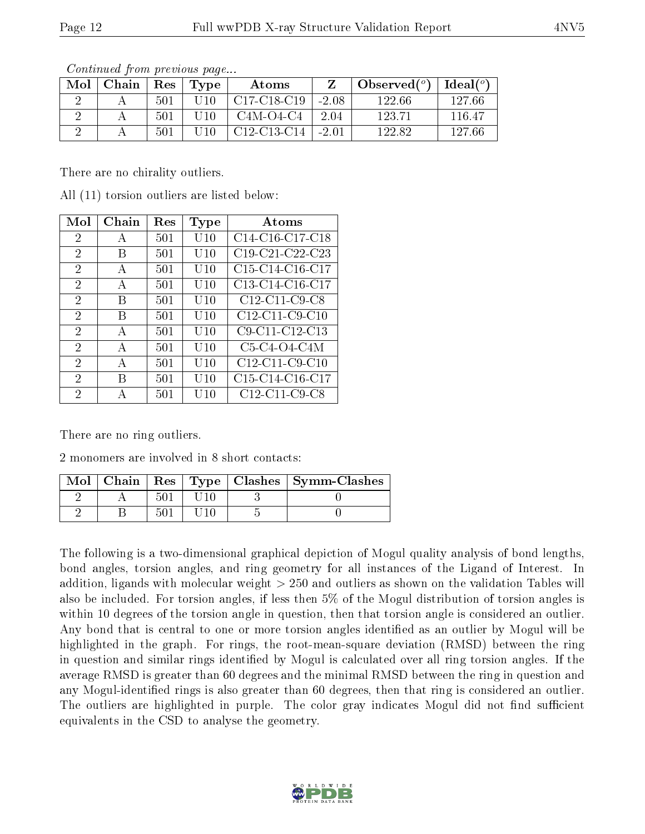| Mol | Chain | Res | Type      | Atoms                                             |         | Observed $(°)$ | Ideal $(°)$ |
|-----|-------|-----|-----------|---------------------------------------------------|---------|----------------|-------------|
|     |       | 501 | $10^{-1}$ | C <sub>17</sub> -C <sub>18</sub> -C <sub>19</sub> | $-2.08$ | 122.66         | 127.66      |
|     |       | 501 | LI 1 O    | $C4M-O4-C4$                                       | 2.04    | 123.71         | 116.47      |
|     |       | 501 |           | C <sub>12</sub> -C <sub>13</sub> -C <sub>14</sub> | $-2.01$ | 122.82         | 127.66      |

Continued from previous page...

There are no chirality outliers.

All (11) torsion outliers are listed below:

| Mol            | Chain | Res | <b>Type</b> | $\rm{Atoms}$      |
|----------------|-------|-----|-------------|-------------------|
| 2              | А     | 501 | $\rm U10$   | $C14-C16-C17-C18$ |
| 2              | В     | 501 | U10         | C19-C21-C22-C23   |
| $\overline{2}$ | A     | 501 | $\rm U10$   | C15-C14-C16-C17   |
| $\overline{2}$ | A     | 501 | U10         | $C13-C14-C16-C17$ |
| $\overline{2}$ | В     | 501 | U10         | C12-C11-C9-C8     |
| 2              | В     | 501 | U10         | C12-C11-C9-C10    |
| $\overline{2}$ | A     | 501 | $\rm U10$   | C9-C11-C12-C13    |
| $\overline{2}$ | А     | 501 | $\rm U10$   | $C5-C4-O4-C4M$    |
| $\overline{2}$ | А     | 501 | U10         | C12-C11-C9-C10    |
| $\overline{2}$ | В     | 501 | $\rm U10$   | $C15-C14-C16-C17$ |
| 2              | А     | 501 | U10         | C12-C11-C9-C8     |

There are no ring outliers.

2 monomers are involved in 8 short contacts:

|  |    |  | Mol   Chain   Res   Type   Clashes   Symm-Clashes |
|--|----|--|---------------------------------------------------|
|  |    |  |                                                   |
|  | 50 |  |                                                   |

The following is a two-dimensional graphical depiction of Mogul quality analysis of bond lengths, bond angles, torsion angles, and ring geometry for all instances of the Ligand of Interest. In addition, ligands with molecular weight > 250 and outliers as shown on the validation Tables will also be included. For torsion angles, if less then 5% of the Mogul distribution of torsion angles is within 10 degrees of the torsion angle in question, then that torsion angle is considered an outlier. Any bond that is central to one or more torsion angles identified as an outlier by Mogul will be highlighted in the graph. For rings, the root-mean-square deviation (RMSD) between the ring in question and similar rings identified by Mogul is calculated over all ring torsion angles. If the average RMSD is greater than 60 degrees and the minimal RMSD between the ring in question and any Mogul-identified rings is also greater than 60 degrees, then that ring is considered an outlier. The outliers are highlighted in purple. The color gray indicates Mogul did not find sufficient equivalents in the CSD to analyse the geometry.

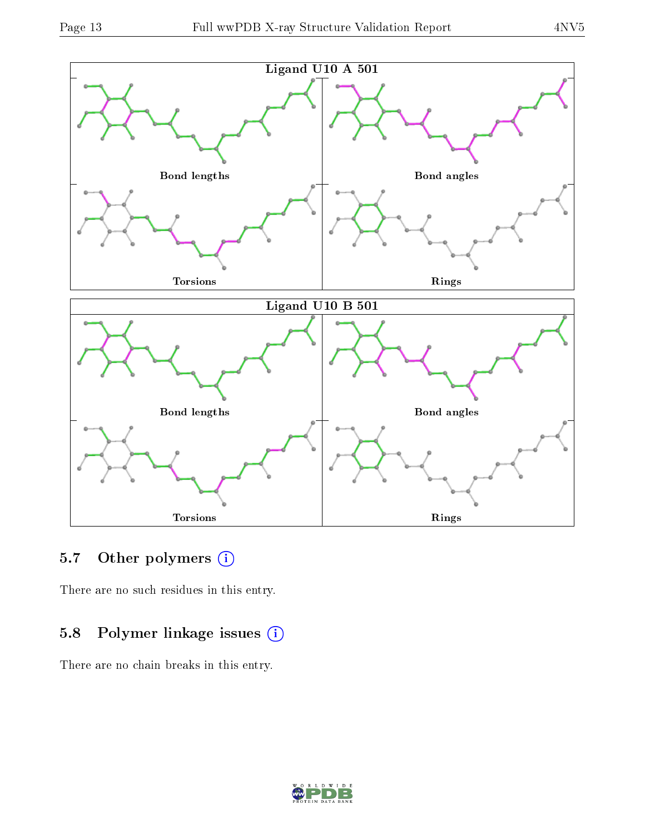

## 5.7 [O](https://www.wwpdb.org/validation/2017/XrayValidationReportHelp#nonstandard_residues_and_ligands)ther polymers (i)

There are no such residues in this entry.

### 5.8 Polymer linkage issues (i)

There are no chain breaks in this entry.

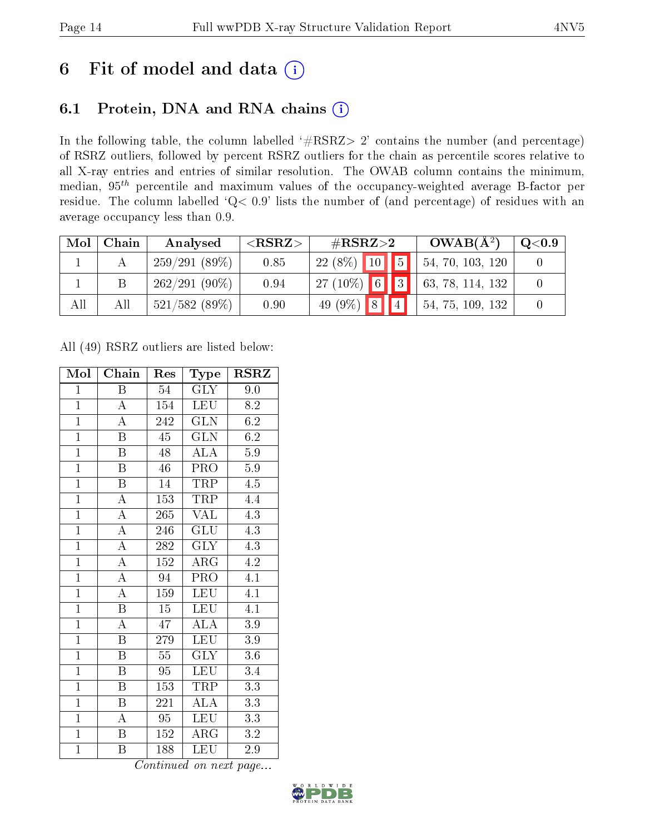## 6 Fit of model and data  $(i)$

## 6.1 Protein, DNA and RNA chains  $(i)$

In the following table, the column labelled  $#RSRZ> 2'$  contains the number (and percentage) of RSRZ outliers, followed by percent RSRZ outliers for the chain as percentile scores relative to all X-ray entries and entries of similar resolution. The OWAB column contains the minimum, median,  $95<sup>th</sup>$  percentile and maximum values of the occupancy-weighted average B-factor per residue. The column labelled ' $Q< 0.9$ ' lists the number of (and percentage) of residues with an average occupancy less than 0.9.

| Mol | Chain | Analysed        | ${ <\hspace{-1.5pt}{\mathrm{RSRZ}} \hspace{-1.5pt}>}$ | $\#\text{RSRZ}{>}2$            | $OWAB(A^2)$      | $\rm Q\textcolor{black}{<}0.9$ |
|-----|-------|-----------------|-------------------------------------------------------|--------------------------------|------------------|--------------------------------|
|     |       | 259/291(89%)    | 0.85                                                  | $22(8\%)$ 10 5                 | 54, 70, 103, 120 |                                |
|     |       | $262/291(90\%)$ | 0.94                                                  | $127(10\%)$ 6 3                | 63, 78, 114, 132 |                                |
| All | Αll   | $521/582$ (89%) | 0.90                                                  | 49 (9%) $8$<br>$\vert 4 \vert$ | 54, 75, 109, 132 |                                |

All (49) RSRZ outliers are listed below:

| Mol            | Chain                   | Res              | Type                    | $\rm RSRZ$       |
|----------------|-------------------------|------------------|-------------------------|------------------|
| $\mathbf{1}$   | $\boldsymbol{B}$        | 54               | <b>GLY</b>              | 9.0              |
| $\overline{1}$ | $\boldsymbol{A}$        | 154              | <b>LEU</b>              | 8.2              |
| $\overline{1}$ | $\overline{\rm A}$      | 242              | $\overline{\text{GLN}}$ | 6.2              |
| $\overline{1}$ | $\boldsymbol{B}$        | 45               | <b>GLN</b>              | 6.2              |
| $\overline{1}$ | $\overline{\mathrm{B}}$ | 48               | ALA                     | $\overline{5.9}$ |
| $\overline{1}$ | $\boldsymbol{B}$        | 46               | PRO                     | 5.9              |
| $\overline{1}$ | $\overline{\mathrm{B}}$ | 14               | TRP                     | $\overline{4.5}$ |
| $\overline{1}$ | $\overline{\rm A}$      | 153              | <b>TRP</b>              | 4.4              |
| $\overline{1}$ | $\overline{\rm A}$      | 265              | <b>VAL</b>              | 4.3              |
| $\overline{1}$ | $\overline{A}$          | 246              | $\overline{\text{GLU}}$ | 4.3              |
| $\overline{1}$ | $\overline{\rm A}$      | 282              | $\overline{\text{GLY}}$ | 4.3              |
| $\overline{1}$ | $\overline{\rm A}$      | 152              | $\overline{\rm{ARG}}$   | $\overline{4.2}$ |
| $\overline{1}$ | $\overline{A}$          | 94               | PRO                     | $\overline{4.1}$ |
| $\overline{1}$ | $\overline{\rm A}$      | 159              | LEU                     | $\overline{4.1}$ |
| $\overline{1}$ | $\overline{\mathrm{B}}$ | $\overline{15}$  | <b>LEU</b>              | $\overline{4.1}$ |
| $\mathbf{1}$   | $\overline{\rm A}$      | 47               | $\overline{\rm ALA}$    | $3.9\,$          |
| $\overline{1}$ | $\overline{\mathrm{B}}$ | $\overline{279}$ | $\overline{\text{LEU}}$ | $\overline{3.9}$ |
| $\overline{1}$ | B                       | 55               | $\overline{\text{GLY}}$ | 3.6              |
| $\overline{1}$ | $\overline{B}$          | 95               | <b>LEU</b>              | $\overline{3}.4$ |
| $\overline{1}$ | $\boldsymbol{B}$        | 153              | TRP                     | 3.3              |
| $\overline{1}$ | $\boldsymbol{B}$        | 221              | <b>ALA</b>              | $\overline{3.3}$ |
| $\mathbf{1}$   | A                       | 95               | <b>LEU</b>              | 3.3              |
| $\mathbf{1}$   | $\, {\bf B}$            | 152              | $\rm{ARG}$              | $3.2\,$          |
| $\mathbf{1}$   | B                       | 188              | <b>LEU</b>              | 2.9              |

Continued on next page...

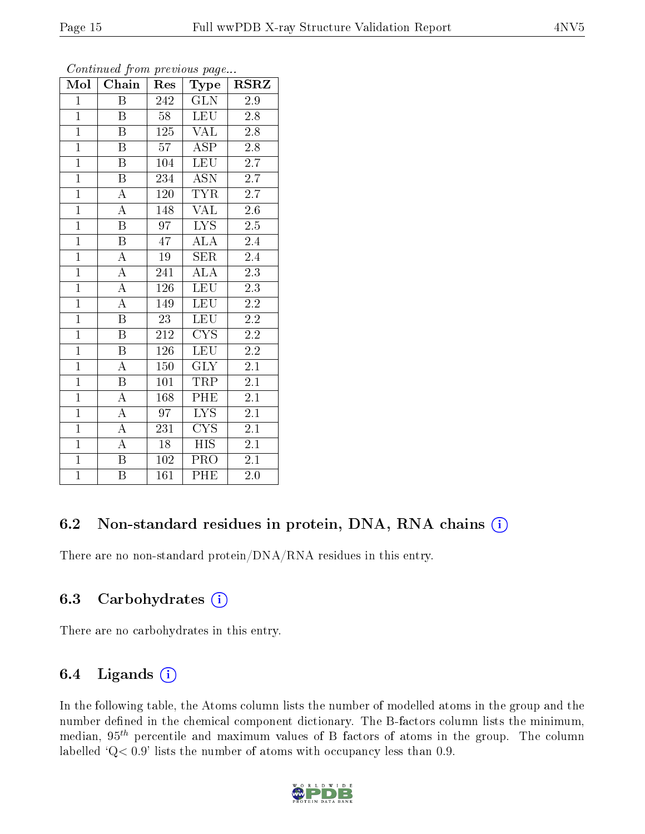| Mol            | Chain                   | Res             | Type                    | $_{\rm RSRZ}$    |
|----------------|-------------------------|-----------------|-------------------------|------------------|
| $\mathbf{1}$   | $\overline{\mathrm{B}}$ | 242             | <b>GLN</b>              | 2.9              |
| $\overline{1}$ | Β                       | 58              | <b>LEU</b>              | $2.8\,$          |
| $\overline{1}$ | B                       | 125             | <b>VAL</b>              | $2.8\,$          |
| $\mathbf{1}$   | Β                       | 57              | <b>ASP</b>              | $2.8\,$          |
| $\overline{1}$ | $\overline{\mathrm{B}}$ | 104             | <b>LEU</b>              | $\overline{2.7}$ |
| $\overline{1}$ | Β                       | 234             | ASN                     | $2.\overline{7}$ |
| $\overline{1}$ | $\overline{\rm A}$      | 120             | <b>TYR</b>              | $2.7\,$          |
| $\overline{1}$ | $\overline{\rm A}$      | 148             | <b>VAL</b>              | 2.6              |
| $\overline{1}$ | B                       | $\overline{97}$ | $\overline{\text{LYS}}$ | $2.5\,$          |
| $\overline{1}$ | $\overline{\mathrm{B}}$ | $\overline{47}$ | $\overline{\rm ALA}$    | $2.4\,$          |
| $\overline{1}$ | $\boldsymbol{A}$        | 19              | <b>SER</b>              | 2.4              |
| $\overline{1}$ | $\overline{\rm A}$      | 241             | $\overline{\rm ALA}$    | $\overline{2.3}$ |
| $\overline{1}$ | $\overline{\rm A}$      | 126             | <b>LEU</b>              | $2.3\,$          |
| $\mathbf{1}$   | $\overline{\rm A}$      | 149             | <b>LEU</b>              | $2.2\,$          |
| $\overline{1}$ | $\overline{\mathrm{B}}$ | 23              | <b>LEU</b>              | $2.2\,$          |
| $\overline{1}$ | $\, {\bf B}$            | 212             | CYS                     | $2.2\,$          |
| $\overline{1}$ | $\overline{\mathrm{B}}$ | 126             | <b>LEU</b>              | $\overline{2.2}$ |
| $\mathbf{1}$   | $\boldsymbol{A}$        | $150\,$         | <b>GLY</b>              | $2.1\,$          |
| $\overline{1}$ | $\overline{\mathrm{B}}$ | 101             | TRP                     | $2\overline{.1}$ |
| $\overline{1}$ | А                       | 168             | PHE                     | 2.1              |
| $\overline{1}$ | $\boldsymbol{A}$        | 97              | LYS                     | $2.1\,$          |
| $\overline{1}$ | $\overline{\rm A}$      | 231             | $\overline{\text{CYS}}$ | 2.1              |
| $\overline{1}$ | $\overline{\rm A}$      | $18\,$          | <b>HIS</b>              | 2.1              |
| $\overline{1}$ | $\overline{\mathrm{B}}$ | 102             | PRO                     | $\overline{2.1}$ |
| $\overline{1}$ | $\overline{\mathrm{B}}$ | 161             | PHE                     | 2.0              |

Continued from previous page...

### 6.2 Non-standard residues in protein, DNA, RNA chains (i)

There are no non-standard protein/DNA/RNA residues in this entry.

#### 6.3 Carbohydrates (i)

There are no carbohydrates in this entry.

### 6.4 Ligands  $(i)$

In the following table, the Atoms column lists the number of modelled atoms in the group and the number defined in the chemical component dictionary. The B-factors column lists the minimum, median,  $95<sup>th</sup>$  percentile and maximum values of B factors of atoms in the group. The column labelled  $Q< 0.9$ ' lists the number of atoms with occupancy less than 0.9.

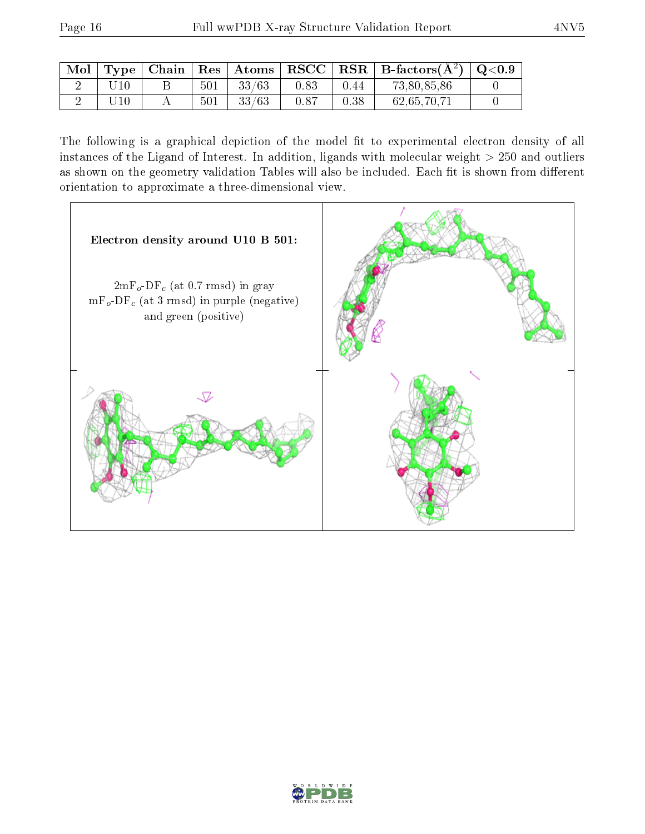| $\text{Mol}$ |           |  |                 |      |      | Type   Chain   Res   Atoms   RSCC   RSR   B-factors $(\AA^2)$   Q<0.9 |  |
|--------------|-----------|--|-----------------|------|------|-----------------------------------------------------------------------|--|
|              | $\rm U10$ |  | $501$   $33/63$ | 0.83 | 0.44 | 73,80,85,86                                                           |  |
|              | U10       |  | $501$   $33/63$ | 0.87 | 0.38 | 62,65,70,71                                                           |  |

The following is a graphical depiction of the model fit to experimental electron density of all instances of the Ligand of Interest. In addition, ligands with molecular weight  $> 250$  and outliers as shown on the geometry validation Tables will also be included. Each fit is shown from different orientation to approximate a three-dimensional view.